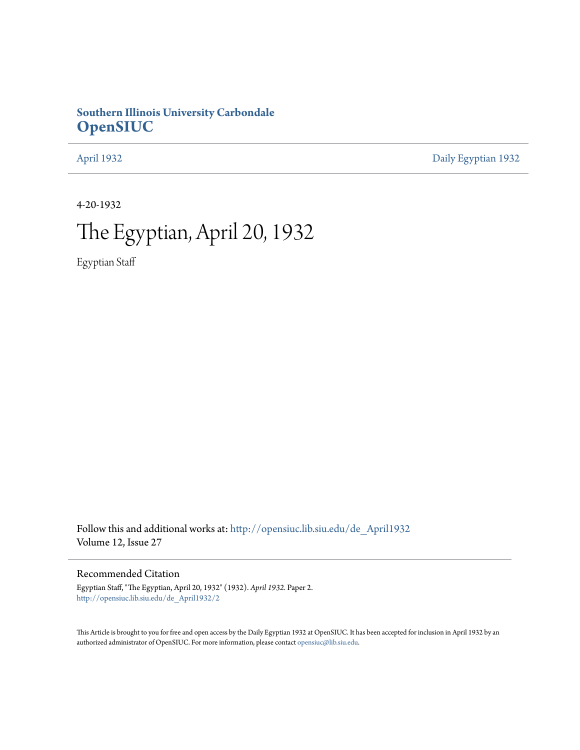## **Southern Illinois University Carbondale [OpenSIUC](http://opensiuc.lib.siu.edu?utm_source=opensiuc.lib.siu.edu%2Fde_April1932%2F2&utm_medium=PDF&utm_campaign=PDFCoverPages)**

[April 1932](http://opensiuc.lib.siu.edu/de_April1932?utm_source=opensiuc.lib.siu.edu%2Fde_April1932%2F2&utm_medium=PDF&utm_campaign=PDFCoverPages) [Daily Egyptian 1932](http://opensiuc.lib.siu.edu/de_1932?utm_source=opensiuc.lib.siu.edu%2Fde_April1932%2F2&utm_medium=PDF&utm_campaign=PDFCoverPages)

4-20-1932

# The Egyptian, April 20, 1932

Egyptian Staff

Follow this and additional works at: [http://opensiuc.lib.siu.edu/de\\_April1932](http://opensiuc.lib.siu.edu/de_April1932?utm_source=opensiuc.lib.siu.edu%2Fde_April1932%2F2&utm_medium=PDF&utm_campaign=PDFCoverPages) Volume 12, Issue 27

## Recommended Citation

Egyptian Staff, "The Egyptian, April 20, 1932" (1932). *April 1932.* Paper 2. [http://opensiuc.lib.siu.edu/de\\_April1932/2](http://opensiuc.lib.siu.edu/de_April1932/2?utm_source=opensiuc.lib.siu.edu%2Fde_April1932%2F2&utm_medium=PDF&utm_campaign=PDFCoverPages)

This Article is brought to you for free and open access by the Daily Egyptian 1932 at OpenSIUC. It has been accepted for inclusion in April 1932 by an authorized administrator of OpenSIUC. For more information, please contact [opensiuc@lib.siu.edu](mailto:opensiuc@lib.siu.edu).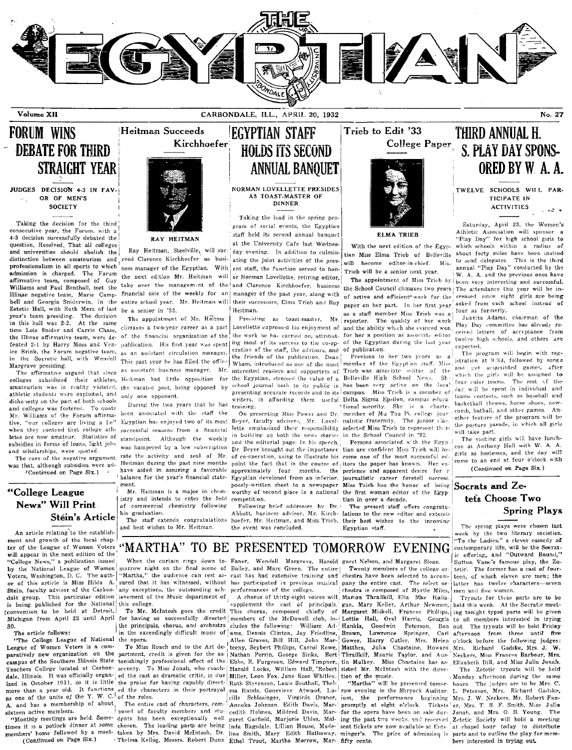

Volume XII

CARBONDALE, ILL., APRIL. 20, 1932

#### No. 27

#### **FORUM WINS** Heitman Succeeds **DEBATE FOR THIRD STRAIGHT YEAR** JUDGES DECISION 4-3 IN FAV OR OF MEN'S **SOCIETY**

Taking the decision for the third consecutive year, the Forum, with a 4-3 decision successfully debated the question, Resolved, That all colleges and universities should abolish the distinction between amateurism and professionalism in all sports to which admission is charged. The Forum affirmative team, composed of Guy Williams and Paul Benthall, met the Illinae negative team, Marie Campbell and Georgia Sniderwin, in the Zetetic Hall, with Ruth Merz of last year's team presiding. The decision<br>in this hall was 2-2. At the same time Lois Snider and Carrie Chase, the Illinae affirmative team, were defeated 2-1 by Harry Moss and Venice Brink, the Forum negative team, in the Socratic hall, with Wendell Margrave presiding.

The affirmative argued that since amateurism was in reality violated, the vacated post, being opposed by athletic students were exploited, and dishonesty on the part of both schools and colleges was fostered. To quote Mr. Williams of the Forum affirma tive, "our colleges are living a lie" when they contend that college athletes are now amateur. Statistics of subsidies in forms of loans, light jobs and scholarships, were quoted.

The core of the negative argument was that, although subsidies were ad-'Continued on Page Six.)

### "College League News" Will Print Stéin's Article

An article relating to the establishment and growth of the local chapter of the League of Women Voters will appear in the next edition of the "College News," a publication issued by the National League of Women Voters, Washington, D. C. The author of this article is Miss Hilda A. Stein, faculty advisor of the Carbondale group. This particular edition jevement of the Music department of is being published for the National this college. convention to be held at Detroit, To Mr. McIntosh goes the credit This chorus, composed chiefly of Margaret Miskell, Frances Phillips,<br>Michigan from April 23 until April for having so successfully directed members of the M 30.

#### The article follows:

"The College League of National the opera. League of Women Voters is a comas one of the units of the Y. W. C. of the roles. A. and has a membership of about sixteen active members.

(Continued on Page Six.)



**RAY HEITMAN** 

ceed Clarence Kirchhoefer as busi- ating the joint activities of the pres- will become editor-in-chief. Mis. ness manager of the Egyptian. With ent staff, the function served to honthe next edition Mr. Heitman will take over the management of the and Clarence Kirchhoefer, business financial side of the weekly for an manager of the past year, along with entire school year. Mr. Heitman will their successors, Elma Trieb and Ray be a senior in '33.

The appointment of Mr. Heitma climaxes a two-year career as a part the financial organization of the  $\alpha$ f as an assistant circulation manager. This past year he has filled the office assistant business manager. Mr.  $8<sub>3</sub>$ only one opponent.

During the two years that he has been associated with the staff the Egyptian has enjoyed two of its most successful seasons from a financial standpoint. Although the weekly was hampered by a low subscription rate the activity and zeal of Mr. Heitman during the past nine months have aided in assuring a favorable balance for the year's financial statement

Mr. Heitman is a major in chemistry and intends to enter the field of commercial chemistry following his graduation.

The staff extends congratulations and best wishes to Mr. Heitman.

**EGYPTIAN STAFF HOLDS ITS SECOND ANNUAL BANOUET** 

NORMAN LOVELLETTE PRESIDES **DINNER** 

Taking the lead in the spring pro gram of social events, the Egyptian staff held its second annual banquet at the University Cafe last Wednes or Norman Lovellette, retiring editor,

Heitman. Presiding as toast-master, Mr. Lovellette expressed his enjoyment of and the ability which she evinced won the work he has carried on, attribut- for her a position as associate editor publication. His first year was spent ing most of its success to the co-op- of the Egyptian during the last year eration of the staff, the advisors, and of publication. the friends of the publication. Dean Wham, introduced as one of the most interested readers and supporters of Trieb was associate colleges subsidized their athletes, Heitman had little opposition for the Egyptian, stressed the value of a Belleville High School News. school journal both to its public in has been very active on the local presenting accurate records and to its campus. Miss Trieb is a member of training.

> Bever, faculty advisers. Mr. Lovellette emphasized their responsibility selected Miss Trieb to represent them in building up both the news stories and the editorial page. In his speech, Dr. Beyer brought out the importance of co-operation, using to illustrate his point the fact that in the course of itors the paper has known. Her exapproximately four months, the Egyptian developed from an inferior, poorly-written sheet to a newspaper worthy of second place in a national competition.

> Following brief addresses by Dr. Abbott, business advisor. Mr. Kirch- lations to the new editor and extends hoefer, Mr. Heitman, and Miss Trieb, the event was concluded.



Trieb to Edit '33

With the next edition of the Egyp-Ray Heitman, Steelville, will suc- day evening. In addition to culmin- tian Miss Elma Trieb of Belleville about forty miles have been invited Trieb will be a senior next year.

> The appointment of Miss Trieb by the School Council climaxes two years The attendance this year will be inof active and efficient work for the paper on her part. In her first year as a staff member Miss Trieb was a The quality of her work reporter.

Previous to her two years as  $\overline{a}$ member of the Egypt'an staff. Miss editor of the riters, in affording them useful Delta Sigma Epsilon, campus educaaining.<br>On presenting Miss Power and Dr. member of Mu Tau Pi, college jour-<br>On presenting Miss Power and Dr. member of Mu Tau Pi, college journalistic fraternity. The junior clas. in the School Council in '32.

Persons associated with the Egyp tian are confident Miss Trieb will become one of the most successful edperience and apparent desire for a journalistic career foretell success. Miss Trieb has the honor of being the first woman editor of the Egyptian in over a decade.

The present staff offers congratutheir best wishes to the incoming Egyptian staff.



THIRD ANNUAL H.

**ACTIVITIES** 

Saturday, April 23, the Women's Athletic Association will sponsor a "Play Day" for high school girls to which schools within a radius of to send delegates. This is the third<br>annual "Play Day" conducted by the W. A. A. and the previous ones have been very interesting and successful. creased since eight girls are being asked from each school instead of four as formerly.

Juanita Adams, chairman of the Play Day committee has already received letters of acceptance from twelve high schools, and others are expected.

The program will begin with registration at 9:30, followed by songs and get acquainted games, after which the girls will be assigned to four color teams. The rest of the day will be spent in individual and teams contests, such as baseball and basketball throws, horse shoes, newcomb, batball, and other games. other feature of the program will be the posture parade, in which all girls will take part.

The visiting girls will have luncheon at Anthony Hall with W. A. A. girls as hostesses, and the day will come to an end at four o'clock with (Continued on Page Six.)

## Socrats and Zetets Choose Two **Spring Plays**

The spring plays were chosen last week by the two literary societies. 'To the Ladies," a clever comedy of contemporary life, will be the Socratic offering, and "Outward Bound," Sutton Vane's famous play, the Zetetic. The former has a cast of fourteen, of which eleven are men; the latter has twelve characters-seven men and five women.

Tryouts for these parts are to be held this week. At the Socratic meetof Margaret Miskell, Frances Phillips, ing tonight typed parts will be given to all members interested in trying Bon out. The tryouts will be held Friday afternoon from three until five o'clock hefore the following judges: Richard Gadske, Mrs. J. Mrs. Neckers, Miss Frances Barbour, Mrs.

The Zetetic tryouts will be held Monday afternoon during the same hours. The judges are to be Mrs. C. more than a year old. It functions ed the characters in their portrayal ma Hands, Genevieve Atwood, Lu- row evening in the Shryock Auditor- L. Peterson, Mrs. Richard Gadske, cille Schlesinger, Virginia Draner, ium, the performance beginning Mrs. J. W. Neckers. Mr. Robert Fan-Tickets er, Mrs. T. B. F. Smith, Miss Julia cedith Holmes, Mildred Davis, Mar- for the opera have been on sale dur- Jonah, and Mrs. O. B. Young. The garet Garfield, Marjorie Uhles, Mal- ing the past two wecks, and reserved Zetetic Society will hold a meeting at chapel hour today to distribute parts and to outline the play for members interested in trying out.

#### MARTHA" TO BE PRESENTED TOMORROW **EVENING**

any exceptions, the outstanding ach- performances of the college.

the principals, chorus, and orchestra cludes the following: in the exceedingly difficult music of ams, Dennis Clinton, Jay Friedline,

paratively new organization on the partment, credit is given for the as Nathan Perrin, George Sinks, Bert Teachers College located at Carbon- scenery. To Miss Jonah, who coach- Harold Locks, William Hall, Robert dale, Illinois. It was officially organ- ed the cast as dramatic critic, is due Miller, Leon Fox, Jane Rose Whitley. tion of the music.<br>ized in October 1931, so it is little the praise for having capably direct-<br>Ruth Steve

The entire cast of characters, composed of faculty members and stu-"Monthly meetings are held. Some-dents has been exceptionally well

morrow night on the final scene of Bailey, and Marc Green. The entirely 'Martha," the audience can rest as- cast has had extensive training and chestra have been selected to accomsured that it has witnessed, without has participated in previous musical pany the entire cast.

A chorus of thirty-eight voices will supplement the cast of principals. William Ad-Allen Graves, Bill Hill, John Mar-To Miss Roach and to the Art de- teeny, Seybert Phillips, Carrol Rowe,

Anneka Johnson, Edith Davis, Mar-' promptly at eight o'clock. times it is a potluck dinner at some chosen. The leading parts are being inda Ragsdale, Lillian House, Made-seat tickets are now available at Ents. members' home followed by a meet- taken by Mrs. David McIntosh, Dr. line Smith, Mary Edith Hathaway. minger's. The price of admission is Thelma Kellog, Messrs. Robert Dunn Ethel Trout, Martha Morrow, Mar- fifty cents.

When the curtain rings down to- Faner, Wendell Margrave, Harold garet Nelson, and Margaret Sloan. Twenty members of the college or

The select orchestra is composed of Myrtle Miles, Marion Thrailkill, Ella Mae Haliagan, Mary Keller, Arthur Newman, Hankla. Goodwin Peterson Lawrence Brown, Lawrence Springer, Carl<br>Gower, Harry Cutler, Mrs. Helen Matthes, Julia Chastaine, Howard Thrailkill, Maurie Taylor, and Auscampus of the Southern Illinois State tonishingly professional effect of the Ebbs, R. Furgeson, Edward Timpner, the Mulkey. Miss Chastaine has as Elizabeth Dill, and Miss Julia Jonah. sisted Mr. McIntosh with the direc-

will be presented tomor-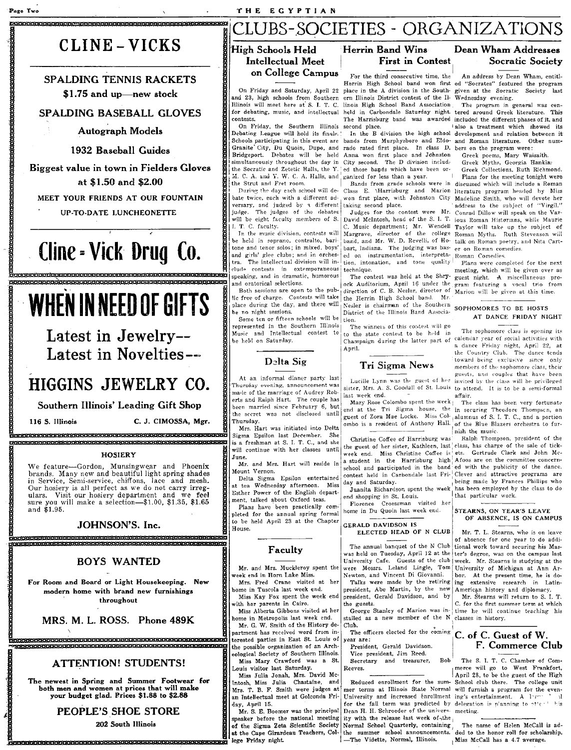# CLINE - VICKS

"P Q <sup>e</sup>9"9 e O:s:B P¥ 9i'1£!t91t91'"61"'SHV8i'1tFW8i'it8 es:a:u 6 & & IIEWP

.page Two

#### SPALDING TENNIS RACKETS \$1.75 and up-new stock

#### SPALDING BASEBALL GLOVES

Autograph Models

#### 1932 Baseball Guides

Biggest value in town in Fielders Gloves at \$1.50 and \$2.00

MEET YOUR FRIENDS AT OUR FOUNTAIN

UP-TO-DATE LUNCHEONETTE

# (line = Viek Drug (0.

# WHEN IN NEED OF GIFTS Some ten of fite of charge. Contests will take the Herrin High School band. Mr. Warloo will be given at this time. **EXERCISE AND SET AND SET AND SET AND SET AND SET AND SET AND SET AND SET AND SET AND SET AND SET AND SET AND SET AND SET AND SET AND SET AND SET AND SET AND SET AND SET AND SET AND SET AND SET AND SET AND SET AND SET AND**

Latest in Jewelry-- Latest in Novelties--

# HIGGINS JEWELRY CO.

Southern Illinois' Leading Gift Shop

116 S. Illinois C. J. CIMOSSA, Mgr.

in Service, Senu-service, chiffons, lace and mesh.  $\frac{10}{10}$  Delta Sigma Epsilon entertained context and Saturday. being made by Frances Phillips who<br>Our hosiery is all perfect as we do not carry irreg-<br>all the Week has ulars. Visit our hosiery department and we feel  $\frac{1}{2}$  Esther Power of the English depart end shopping in St. Louis.<br>sure you will make a selection—\$1.00, \$1.35, \$1.65  $\frac{1}{2}$  ment, talked about Oxford teas. sure you will make a selection—\$1.00, \$1.35, \$1.65  $\frac{1}{10}$  ment, talked about OXTOPD teas.<br>and \$1.95. Plans have been practically com-<br>and \$1.95.

## JOHNSON'S. Inc. Cij P MAAEE&E9hhJLHEHh a H H b & 6 H H 6 9 e 9 p

#### BOYS WANTED

For Room and Board or Light Housekeeping. New modern home with brand new furnishings throughout

MRS. M. L. ROSS. Phone 489K

#### ATTENTION! STUDENTS!

The newest in Spring and Summer Footwear for both men and women at prices that will make<br>your budget glad. Prices \$1.88 to \$2.88

## PEOPLE'S SHOE STORE

202 South Illinois

# LUBS-SOCIETIES - ORGANIZATIONS

I

#### High Schools Held Intellectual Meet on College Campus

Illinois will meet here at S. I. T. C. linois High School Band Association for debating, music, and intellectual held in Carbondale Saturday night.

On Friday, the Southern Illinois second place.<br>Debating League will hold its finals. In the B Debating League will hold its finals. ' In the B division the high school development and relation between it<br>Schools participating in this event are bands from Murphysboro and Eldo- and Roman literature. Other num-<br>Granit Bridgeport. Debates will be held<br>simultaneously throughout the day in

judge. The judges of the debates<br>will be eight faculty members of S.<br>I. T. C. faculty.

1 and girls' glee clubs; and in orchestra.<br>
The intellectual division will in-<br>
clude contests in extemporaneous<br>
speaking, and in dramatic, humorous

lic free of charge. Contests will take<br>place during the day, and there will

Some ten or fifteen schools will be represented in the Southern Illinois The winners of this contest will go<br>Music and Intellectual contest to to the state contest to be held in

----;-;;:- I gllP,t" an" couph·; that have been At an mfonna Inner part:;.. ast I Lucille Lynn v..as thf g'Ul'st of her inVited b:-' the cla~", will b{, privileged made of the marriage of Audrey Rob- $\vert$  sister, mis. A. S. Good and Red to all affair.<br>
erts and Ralph Hart. The couple has  $\vert$  mary Rose Colombo spent the week  $\vert$ . The been married since February 6, but<br>the secret was not disclosed until

Thursday.<br>
Mrs. Hart was initiated into Delta onbo is a resident of Anthony Hall. of the Blue Blazers orchestra to fur-<br>
Sigma Epsilon last December. She Christine Coffee of Harrisburg was Ralph Thompson, president of the Experiment and the music. The music in the music is the music of the music of the music in the music in the music of the music of the music of the music of the music of the music of the music of the music of the music of t is a freshman at S. I. T. C., and she character of her sister, Kathleen, last class, has charge of the sale of tick-<br>will continue with her classes until the guest of her sister, Kathleen, last class, has charge of the sal HOSIERY WILL continue with her classes until week end. Miss Christine Coffee is: ets. Gertrude Clark and John Mc-<br>Bell June.<br>Bell The Manufacture of the Harrisburg high Afoos are on the committee concern-

pleted for the annual spring formal home in Du Quoin last week end. STEARNS, ON YEAR'S LEAVE to be held April 23 at the Chapter GERALD DAVIDSON IS

#### Faculty

Mr. and Mrs. Muckleroy spent the reek end in Horn Lake Miss. Mrs. Fred Crane visited at her borne in Tuscola last week end.

Miss Kay Fox spent the week end with her parents in Cairo.

Miss Alberta Gibbons visited at her ome in Metropolis last week end. Mr. G. W. Smith of the History de-

**C<sub>tron</sub> khampatan kharatan khampatan sharatan kahan khampatan khampatan sharatan kh**<br>- Senera kahan khampatan khampatan khampatan khampatan khampatan khampatan khampatan partment has received word from interested parties in East St. Louis of the possible organization of an Archeological Society of Southern Illinois. Miss Mary Crawford was a St.

Louis visitor last Saturday. Miss Julia Jonah, Mrs. David Mc-Intosh, Miss Julia Chastaine, and Mrs. T. B. F. Smith were judges at an Intellectual meet at Golconda Friday, April 15.

eer een berender van die gebiede beskrik bekender bekender beland Mr. S. E. Boomer was the principal speaker before the national meeting of the Sigma Zeta Scientific Society at the Cape Girardeau Teachers, College Friday night.

Herrin High School band won first ed "Socrates" featured the program<br>place in the A division in the South-given at the Socratic Society last On Friday and Saturday, April 22 place in the A division in the South- given at the Socrational 23, high schools from Southern ern Illinois District contest of the Il-Wednesday evening. and 23, high schools from Southern ern Illinois District contest of the Il- Wednesday evening.<br>Illinois will meet here at S. I. T. C. linois High School Band Association. The program in general was cenfor debating, music, and intellectual held in Carbondale Saturday night. tered around Greek literature. This

bands from Murphysboro and Eldo- and Roman literature. Other numr, Du Quoin, Dupo, and rado rated first place. In class D, bers on the program were:<br>Debates will be held Anna won first place and Johnston Greek poems, Mary Wai Anna won first place and Johnston Greek poems, Mary Waisaith.<br>City second. The D division includ- Greek Myths, Georgia Hanklathe Socratic and Zetetic Halls, the Y. | ed those bapds which have been or- Greek Collections. Ruth Richmond.<br>M. C. A. and Y. W. C. A. Halls, and | ganized for less than a year. | Plans for the meeting tonight were

During the day each school will de- Class E. Marrisburg and Marion literature program headed by Miss<br>bate twice, each with a different ad-, won first place, with Johnston City Madeline Smith who will devote her bate twice, each with a different ad- won first place, with Johnston City Madeline Smith, who will devote her<br>versary, and judged by a different taking second place. "address to the subject of "Virgil."

David McIntosh, head of the S. I. T. C. Music department; Mr. Wendell In the music division, contests will Margrave, director of the college Roman Myths. Ruth Stevenson will<br>be held in soprano, contralto, bari- uand, and Mr. W. D. Revelli, of Ho- talk on Roman poetry, and Nita Cartbe held in soprano, contralto, bari- band, and Mr. W. D. Revelli, of Ho- talk on Roman poetry, and Nita Cart-<br>tone and tenor solos; in mixed, boys' bart, Indiana. The judging was bas- er on Roman comedies. bart, Indiana. The judging was bas- er on Roman comedies. girls' glee clubs; and in orches- ed on instrumentation, interpreta-Roman Comedies.<br>The intellectual division will in-<br>tion, intonation, and tone quality Plans were comtion, intonation, and tone quality Plans were completed for the next

speaking, and in dramatic, humorous The contest was held at the Shry- guest night. A miscellaneous pro-<br>and oratorical selections. eck Auditorium, April 16 under the gram featuring a vocal trio from **REGENSIONS CONSIDERATIONS CONSIDERATION CONSIDERATION CONSIDERATION** TO THE CONSIDERATION CONSIDERATION CONSIDERATION CONSIDERATION CONSIDERATION CONSIDERATION CONSIDERATION CONSIDERATION CONSIDERATION CONSIDERATION CONS District of the Illinois Band Associa-

> Music and Intellectual contest to I to the state contest to be held in The sophomore class is opening its<br>be held on Saturday.<br>Dampaign during the latter part of calendar year of social activities with be hel,1 on Saturday. Champaign during the latter part of calendar year of social activltil'::; with I April. a dance Friday night, April 22, at

I

I sister, Mrs. A. S. Goodall of St. Louis to attend. It is to be a semi-formal

Mary Rose Colombo spent the week | The class has been very fortunate l end at the Tri Sigma house, the in securing Theodore Thompson, an the secret was not disclosed until guest of Zora Mae Locke. Miss Col- alumnus of S. I. T. C., and a portion

une.<br>Mr. and Mrs. Hart will reside in a student in the Harrisburg high WE feature-Gordon, Mount Vernon, and Phoenix I school and participated in the band' ed with the publicity of the dance. bunt vernon.<br>Delta Sigma Epsilon entertained contest held in Carbondale last Fri- Clever and attractive programs are

## ELECTED HEAD OF N CLUB

The annual banquet of the N Club tional work toward securing his Maswas held on Tuesday, April 12 at the ter's degree, was on the campus last<br>University Cafe. Guests of the club week. Mr. Stearns is studying at the University Cafe. Guests of the club week. Mr. Stearns is studying at the were Messrs. Leland Lingle, Tom University of Michigan at Ann Arwere Messrs. Leland Lingle, Tom University of Michigan at Ann Ar-<br>Newton, and Vincent Di Giovanni. bor. At the present time, he is do-

president, Gerald Davidson, and by Mr. Stearns will return to S. I. T.

stalled as a new member of the N classes in history. Club.<br>The officers elected for the coming

Secretary and treasurer, Reeves.

Reduced enrollment for the sum-School club there. The college unit mer terms at Illinois State Normal will furnish a program for the even-University and increased enrollment ing's entertainment. A large  $\bar{a}$  if for the fall term was predicted by delegation is p'anning to  $r't$  is Dean H. H. Schroeder of the univers- meeting. ity with the release last week of-the

Normal School Quarterly, containing The name of Helen McCall is adthe summer school announcements. ded to the honor roll for scholarship.<br>  $\text{The Viidette, Normal, Illinois.}$  Miss McCall has a 4.7 average.

#### Herrin Band Wins Dean Wham Addresses First in Contest Socratic Society

For the third consecutive time, the An address by Dean Wham, entitl-

included the different phases of it. and<br>also a treatment which showed its

I. II. C. A. and Y. W. C. A. Halls, and  $\frac{1}{2}$  ganized for less than a year. I Plans for the meeting tonight were in discussed which will include a Roman  $\frac{1}{2}$  Bands from grade schools were in discussed which will version in the subject of "Virgil."<br>The judges of the debates Judges for the contest were Mr. Conrad Dillow will speak on the Var-Conrad Dillow will speak on the Var-<br>jous Roman Historians, while Maurie Taylor will take up the subject of

technique. meeting, which will be given over as The contest was held at the Shry- guest night. A miscellaneous pro-

the Country Club. The dance tends Delta Sig Tri Sigma News toward being exclusive since only members of the sophomore class, their<br>guests, and couples that have been

## OF ABSENCE. IS ON CAMPUS

Mr. T. L. Stearns, who is on leave of absence for one year to do addi-Newton, and Vincent Di Giovanni. bor. At the present time, he is do-<br>Talks were made by the retiring ing extensive research in Latin-<br>president, Abe Martin, by the new American history and diplomacy.

the guests.  $\vert$  C. for the first summer term at which George Stanley of Marion was in- $\vert$  time he will continue teaching his time he will continue teaching his

# The officers elected for the coming  $\begin{matrix} \text{C. of } C \text{. Guest of } W. \\ \text{President, Gerald Davidson.} \end{matrix}$  . F. Commerce C President, Gerald Davidson. F. Commerce Club<br>Vice president, Jim Reed. Secretary and treasurer. Bob The S. I. T. C. Chamber of Com-

April 28, to be the guest of the High merce will go to West Frankfort, will furnish a program for the even-

-Miss McCall has a 4.7 average.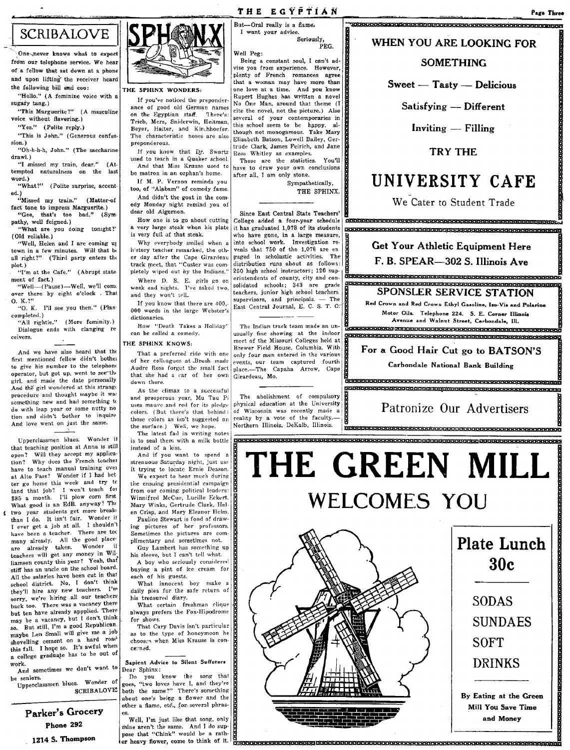# **SCRIBALOVE**

rl .rn:-y''''~,~-' ~

One-never knows what to expect from our telephone service. We hear  $of a$  fellow that sat down at a phone and upon lifting the receiver heard the following bill and coo:

"Hello." (A feminine voice with a sugary tang.)

"This Marguerite?" (A masculine voice without flavering.)

"Yes." (Polite reply.) "This is John." (Generous confes-

sion.) "Oh-h-h-h, John." (The saccharine

drawl.) "I missed my train, dear." (Attempted. naturalness on the last word.)

"What?" (Polite surprise, accented.)<br>**''Missed my train.''** (Matter-of

fact tone to impress Marguerite.) "Gee, that·s too bad." (Sym-

pathy, well feigned.) "What are you doing tomght?' (Old reliable.)

'Well, Helen and I are coming up town in a few minutes. Will that bt all right?" (Third party enters the

plot.) "I'm at the Cafe." (Abrupt statement of fact.)

"Well-(Pause)-Well, we'll come over there by eight o'clock . That O. K.?"

"0. K. I'll see you then." (Plan completed. ) "All rightie." (More feminity.)

Dialogue ends with clanging re ceivers.

And we have also heard that the first mentioned fellow didn't bothel to give his number to the telephone operator, but got up, went to see-the girl, and made the date personally And the girl wondered at this strange procedure and thought maybe it was something new and had something t< do with leap year or some nutty no tion and didn't bother to inquire And love went on just the same.

Upperclassmen blues. Wonder jj that teaching position at Anna is still open? Will they accept my application? Why does the French teacher have to teach manual training ovel at Alto Pass? Wonder if I had bet ter go home this week and try tc land that job? I won't teach for \$85 a month. I'll plow corn first What good is an EdB. anyway? The two year students get more breakt<br>than I do. It isn't fair. Wonder if I ever get a job at all. I shouldn't have been a teacher. There are too many already. All the good place:<br>are already taken. Wonder if teachers will get any money in Wil~ liamson county this year? Yeah, that stiff has an uncle on the school board. All the salaries have been cut in that school district. No, I don't think they'll hire any new teachers. I'm sorry, we're hiring all our teachers back too. There was a vacancy there but ten have already appplied. There may be a vacancy, but I don't think so. But still, I'm a good Republican. maybe Len Small will give me a Job shovelling cement on a hard road<br>this fall. I hope so. It's awful when a college graduaje has to be out of work. And sometimes we don't want to

be seniors.

Upperclassmen blues. Wonder of  $SCRIBALOVE$ 

Parker's Grocery Phone 292 1214 S. Thompson



THE SPHINX WONDERS,

If you've noticed the preponderance of good *old* German names on the Egyptian staff. There's: Trieb, Merz. Sniderwin, Heitman, Beyer, Halter, and Kirchhoefer. The characteristic noses are also preponderous.

If you know that Dr. Swartz used to teach in a Quaker school. And that Miss Krause used to be matron in an orphan's home.

Il M. P. Vernon reminds you too, of "Alabam" of comedy fame. And didn)t the goat in the com·

edy Monday night remind you of dear old Algernon.

How one is to go about cutting a very large steak when his plate is very full of that steak.

Why everybody smiled when a history teacher remarked, the other day after the Cape Girardeau track meet, that "Custer was completely wiped out by the Indians."

Where D. S. E. girls go on week end nights. I've asked two, and they won't tell. If you know that there are 400. 000 words in the large Webster's

dictionaries. How "Death Takes a Holiday'

can be called a comedy.

#### THE SPHINX KNOWS,

That a preferred ride with one of her colleagues at .Brush made Audre Ross forget the small fact that she had a car of her own down there.

As the climax to a successful and prosperous year, Mu Tau Pi uses mauve and red for its pledge colors. (But there's that behind) those colors as isn't suggested on the surface.) Well, we hope. The latest fad in writing notes

is to seal them with a milk bottle instead of a kiss.

And if you want to spend a strenuous Saturday night, just use it trying to locate Ernie Deason.

We expect to hear much during the ensuing presidential campaign from our coming political leaders: Winnifred McCue, Lucille Eckert, Mary Winks, Gertrude Clark, Hel· en Crisp. and Mary Eleanor Helm.

Pauline Stewart is fond of drawing pictures of her professors. Sometimes the pictures are complimentary and sometimes not.

Guy Lambert has something up his sleeve, but I can't tell what.

A boy who seriously considered buying a pint of ice cream for each of his guests.

What innocent boy make a daily plea for the safe return of his treasured diary.

What certain freshman clique always prefers the Fox-Hipodrome for shows.

That Cary Davis isn't particular as to the type of honeymoon he chooses when Miss Krause is conce:·ned.

#### Sapient Advice to Silent Sufferers Dear Sphinx:

Do you know the song that goes, "two loves have I, and they're both the same?" There's something about one's being a flower and the other a flame, etc., for several phrases.

Well, I'm just like that song, only thine aren't the same. And] do suppose that "Chink" would be a rather heavy flower, come to think of it.

#### THE EGYPTIAN to a second the second term of the second term of the second term of the second term of the second term of the second term of the second term of the second term of the second term of the second term of the sec But-Oral really is a flame. The mass in angular resolutions of the mass in the mass is a flame.

I want your advice. Seriously, PEG.

Well Peg:

Being a constant soul, I can't advise you from experience. However, plenty of French romances agree that a woman may have more than one love at a time. And you know Rupert Hughes has written a novel No One Man, around that theme (t cite the novel, not the picture.) Also several of your contemporaries in this school seem to be happy, although not monogamous. Take Mary Elizabeth Batson, Lowell Bailey, Gertrude Clark, James Feirich, and Jane Rose Whitley as examples.

Those are the statisties. You'll have to draw your own conclusions after all, 1 am only stone. Sympathetically,

THE SPHINX.

Since East Central State Teachers' College added a four-year schedule it has graduated 1,078 of its students<br>who have gone, in a large measure, who have gone, in a raige measure, into school work. Investigation re-Since East Central State Teachers' We Cater to Student Trade<br>College added a four-year schedule **EXERCRESS COLLEGE COLLEGE AND COLLEGE ARE COLLEGE A**<br>into school work. Investigation re-<br>web have gone, in a large measure. B gaged in scholastic activities. The<br>distribution runs about as follows: 250 erintendents of county, city and con- super-super-super-super-super-super-super-super-super-super-super-super-super-super-super-super-super-super-super-super-super-super-super-super-super-super-super-super-super-supersolidated schools; 343 are grade<br>teachers, junior high school teachers

The Indian track team made an unmeet of the Missouri Colleges held at Brewer Field House, Columbia. With only four men entered in the various events, our team captured fourth place.-The Capaha Arrow, Cape Girardeau, Mo.

WHEN YOU ARE LOOKING FOR

#### **SOMETHING**

 $S<sub>weet</sub> - T<sub>astro</sub> - D<sub>elicious</sub>$ 

Satisfying - Different

 $Inviting - Filling$ 

TRY THE

# UNIVERSITY CAFE

We Cater to Student Trade

e1'¥9Sit91ti' & M&S ees iHH nl

999geSpgpP99RHPFWRER¥¥AE? ER6F

I<br>Concorado<br>A<br>Concorado Get Your Athletic Equipment Here

distribution runs about as follows:  $\frac{1}{B}$  F. B. SPEAR-302 S. Illinois Ave

supervisors, and principals. - The East Centra. Journal of Crown and Red Crown and Red Crown Ethyl Gasoline, Iso-Vis and Polarine Motor Oils. Telephone 224. S. E. Corner Illinois Avenue and Walnut Street, Carbondale, Ill.

usually fine showing at the indoor commenced team at the announ- indicated the announ- indicated team at the made the announ-

# For a Good Hair Cut go to BATSON'S

Carbondale National Bank Building

-------- WkkkU-a-R1'XS1f1f1f1 <sup>B</sup>B 9 MthABHB!fE€S RBF

# THE GREEN MILL WELCOMES YOU





Mill You Save Time and Money By Eating at the Green<br>
Mill You Save Time<br>
and Money<br>
Mill You Save Time<br>
ARSENT EXECUTE:

61

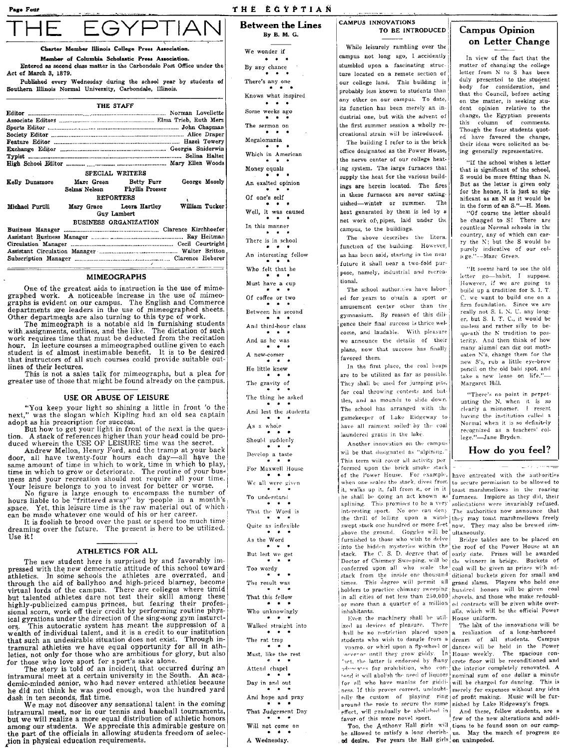'age Four

#### THE EGYPTIAN

## Between the Lines

By B. M. G.

Charter Member Illinois College Press Association.

EGYPTIAN

Member of Columbia Scholastic Press Association. Entered as second class matter in the Carbondale Post Office under the Act of March 3, 1879.

Published every Wednesday during the school year by students of Southern lllinois Normal University, Carbondale, Illinois.

|                 |               | THE STAFF                    |                |
|-----------------|---------------|------------------------------|----------------|
|                 |               |                              |                |
|                 |               |                              |                |
|                 |               |                              |                |
|                 |               |                              |                |
|                 |               |                              |                |
|                 |               |                              |                |
|                 |               |                              |                |
|                 |               |                              |                |
|                 |               |                              |                |
|                 |               | SPECIAL WRITERS              |                |
| Kelly Dunsmore  |               | Marc Green Betty Furr        | George Mosely  |
|                 | Selma' Nelson | <b>Phyllis Prosser</b>       |                |
|                 |               | <b>REPORTERS</b>             |                |
| Michael Purtill |               | Mary Grace Leora Hartley     | William Tucker |
|                 |               | Guy Lambert                  |                |
|                 |               | <b>BUSINESS ORGANIZATION</b> |                |
|                 |               |                              |                |
|                 |               |                              |                |
|                 |               |                              |                |

#### MIMEOGRAPHS

One of the greatest aids to instruction is the use of mime-graphed work. A noticeable increase in the use of mimeo-graphs is evident on our campus. The English and Commerce departments are leaders in the use of mimeographed sheets. Other departments are also turning to this type of work.

The mimeograph is a notable aid in furnishing students with.assignments, outlines, and the like. The dictation of such work requires time that must be deducted from the recitation hour. In lecture courses a mimeographed outline given to each student is of almost inestimable benefit. It is to be desired that instructors of all such courses could provide suitable outlines of their lectures.

This is not a sales talk for mimeographs, but a plea for greater use of those that might be found already on the campus.

#### USE OR ABUSE OF LEISURE

"You keep your light so shining a little in front '0 the next," was the slogan which Kipling had an old sea captain adopt as his prescription for success.

adopt as his prescription for success. But how to get your light in front of the next is the ques-tion. A stack of references higher than your head could be pro-

duced where whellon, Henry Ford, and the tramp at your back<br>door, all have twenty-four hours each day—all have the door, all have twenty-four hours each day—all have the same amount of time in which to work, time in which to play, ime in which to play, ines and your recreation should not require all your time.

Your leisure belongs to you to invest for better or worse.<br>No figure is large enough to encompass the number of<br>hours liable to be "frittered away" by recople in a month's<br>space. Yet, this leisure time is the raw material

It is foolish to brood over the past or spend too much time<br>dreaming over the future. The present is here to be utilized. Use it!

#### ATHLETICS FOR ALL

The new student here is surprised by and favorably im-<br>pressed with the new democratic attitute of this school toward<br>athletics. In some schools the athletes are overrated, and<br>through the aid of ballyhoo and high-priced b ors. This autocratic system has meant the suppression of a wealth of individual talent, and it is a credit to our institution and it is a credit to our institution of  $\alpha$ that such an undesirable situation does not exist. Through in-

tramural athleties we have equal opportunity for all in athleties, not only for those who are ambitious for glory, but also for those who love sport for sport's sake alone.<br>The story is 'told of an incident that occurred d demic-minded senior, who had never entered athletics because<br>he did not think he was good enough, won the hundred yard dash in ten seconds, flat time.

We may not discover any sensational talent in the coming<br>intramural meet, nor in our tennis and baseball tournaments,<br>but we will realize a more equal distribution of athletic honors<br>among our students. We appreciate this tion in physical education requirements.

We wonder if  $\cdots$ By any chance There's any one Knows what inspired  $\bullet\qquad \bullet\qquad \bullet$ Some weeks ago The sermon on Megalomania Which in American Money equals An exalted opinion Of one's self Well, it was caused<br> $\begin{array}{r} * \ * \ * \ * \end{array}$ <br>In this manner There is in school An interesting fellow Who felt that he Must have a cup Of coffee or two Between his second And third-hour class And us he was A new-comer He little knew The gravity of The thing he asked And lest the students As a whole ٠. Should suddenly Develop a taste For Maxwell House We all were given To understand That the Word is Quite as inflexible As the Word But lest we get Too wordy The result was That this fellow Who unknowingly Walked straight into The rat trap Must, like the rest Attend chapel Day in and out And hope and pray That Judgement Day Will not come on

A Wednesday.

#### l CAMPUS INNOVATIONS TO BE INTRODUCED

While leisurely rambling over the campus not long ago, I accidently stumbled upon a fascinating structure located on a remote section of our college land. This building is probably less known to students than any other on our campus. To date, its function has been merely an industrial one, but with the advent of the first summer session a wholly recreational strain will be introduced.

The building I refer to is the brick office designated as the Power House, the nerve center of our college heating system. The large furnaces that supply the heat for the various buildings are herein located. The fires in these furnaces are never extinguished-winter or summer. The heat generated by them is led by a net work of pipes, laid under the campus, to the buildings.

The above describes the litera. function of the building. However, as has been said, starting in the near future it shall bear a two-fold purpose, namely, industrial and recreationa!.

The school authorities have labored for years to obtain a sport or amusement center other than the gymnasium. By reasen of this diligence their final success is thrice welcome, and laudable. With pleasure we announce the details of their plans, now that success has finally favored them,

In the first place, the coal heaps are to be utilized as far as possible. They shall be used for jumping pits, for coal throwing contests and battles, and as mounds to slide down. The school has arranged with the gamekeeper of Lake Ridgeway to have all raiment soiled by the coal laundered gratis in the lake.

Another innovation on the campus wil be that designated as "alpining." This term will cover all activity per formed upon the brick smoke stack of the Power House. For example,<br>when one scales the stack, dives from it, walks up it, fall from it, or in it toast marshmellows in the roaring he shall be doing an act known, as furnaces. Implore as they did, their<br>aplining. This promises to be a very solicitations were invariably refused.<br>interesting sport. No one can deny The authorities now announce that the thrill of folling upon a wind-<br>they may tost marshmellows freely swept stack one hundred or more feet<br>how. They may also be brewed sim-<br>above the ground. Goggles will be ultaneously.<br>furnished to those who wish to del into the hidden mysteries within the the roof of the Power House at an stack. The C. S. D. degree that of early date. Prizes will be awarded Doctor of Chimney Sweeping, will be  $\frac{1}{2}$  the winners in bridge. Buckets of conferred upon all who scale the coal will be given as prizes with adstack from the inside one thousand ditional buckets given for small and times. This degree will permit all grand slams. Players who hold one holders to practice chimney sweeping hundred honors will be given coal in all cities of not less than  $250,000$  shovels, and those who make redoubl-<br>or more than a quarter of a million  $_{\text{ed}}$  contracts will be given white overor more than a quarter of a million  $\Big|$  inhabitants.

Even the machinery shall be util-  $H_0$ use uniform.<br>ed as devices of pleasure. There The last of the innovations will be ized as devires of pleasure. There hall be no restriction placed upon  $|a|$  realization of a long-harbored eilly the custom of playing ring of profit making. Music will be fur-<br>around the rosie to secure the same nished by Lake Ridgeway's frogs.<br>effect, will gradually be abolished in And these, fillow students, are a<br>favor of t

I

Too, the Anthony Hall girls will tions to be found soon on our camp-<br>be allowed to satisfy a long-cherish- us. May the march of progress go<br>ed desire. For years the Hall girls, on unimpeded.

#### Campus Opinion on Letter Change

In view of the fact that the matter of changing the college letter from N to S has been duly presented to the student body for consideration, and that the Council, before acting on the matter, is seeking stu-dent opinion relative to the change, the Egyptian presents this column of comments. Though the four students quoted have favored the change, their ideas were solicited as be· ing generally representative.

"If the school wishes a letter that is significant of the school, S would be more fitting than N. But as the letter is given only for the honor, it is just as sig· nificant as an N as it would be in the form of an S."-H. Moss.

"Of course tne letter should be changed to S! There are countless Normal schools in the country, any of which can carry the N; but the S would be purely indicative of our colj( ge." --Marc Green.

"It seems hard to see the old letter go-habit, I suppose. However, if we are going to build up a tradition for S. L T C. we want to build one on a firm foundation. Since we are really not S. I. N. U. any longer, but S, 1. T. C., it would be useless and rather silly to bequeath the N tradition to posterity. And then think of how many alumni can dig out motheaten N's, change them for the new S's, rub a little eye-brow pencil on the old bald spot, and<br>take a new lease on life."— Margaret Hill.

"There's no point in perpetuating the N, when it is so clearly a misnomer. I resent having the institution called a Normal when it is so definitely recognized as a teachers' college."-Jane Bryden.

#### How do you feel?

have entreated with the authorities to secure permission to be allowed to

alls. which will be the official Power<br>House uniform.

students who wish to dangle from a dream of all students. Campus vnamo, or whirl upon a fly-wheel or dances will be held in the Power<br>overnor until they grow giddy. In House weekly. The spacious conhet, the latter is endorsed by many crete floor will be reconditioned and 1deocates for prohibition, who con- the interior completely renovated. A  $t$  and it will abolish the need of liquors nominal sum of one dellar a minute for all who have manias for giddi- will be charged for dancing. This is ness. If this proves correct, undoubt- merely for expenses without any idea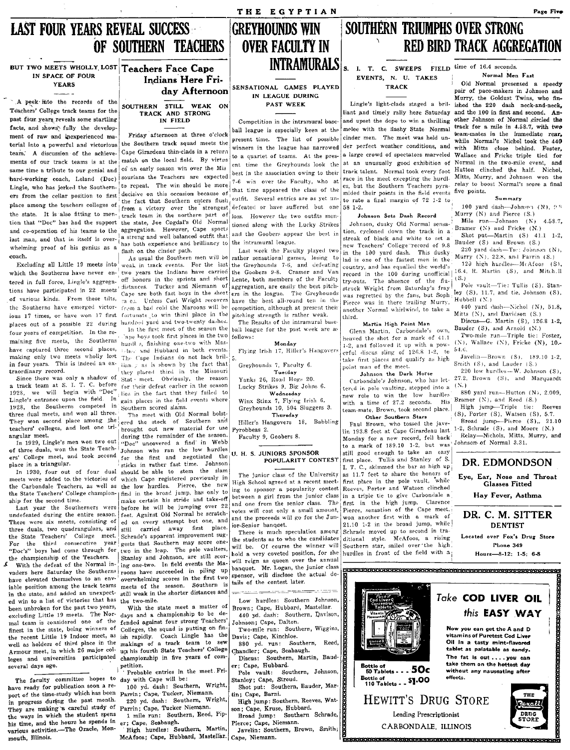# **LAST FOUR YEARS REVEAL SUCCESS** OF SOUTHERN TEACHERS

BUT TWO MEETS WHOLLY LOST Teachers Face Cape IN SPACE OF FOUR **YEARS** 

A peek mto the records of the Teachers' College track teams for the past four years reveals some startling facts, and shows' fully the development of raw and inexperienced material into a powerful and victorious team. A discussion of the achievements of our track teams is at the same time a tribute to our genial and hard-working coach. Leland (Doc) Lingle, who has jerked the Southerners from the cellar position to first place among the teachers colleges of the state. It is also fitting to mention that "Doc" has had the support the state, Joe Cogdal's Old Normal and co-operation of his teams to the aggregation. However, Cape sports last man, and that in itself is overwhelming proof of his genius as a coach.

Excluding all Little 19 meets into tered in full force, Lingle's aggregations have participated in 22 meets of various kinds. From these tilts. the Southerns have emerged victorious 17 times, or have won 17 first fortunate to win third place in the places out of a possible 22 during hundred yard and two-twenty dashes. four years of competition. In the remaining five meets, the Southerns have captured three second places, making only two meets wholly lost The Cape Indians do not lack brilin four years. This is indeed an extraordinary record.

a track team at S. I. T. C. before 1928, we will begin with "Doc" Lingle's entrance upon the field. In 1928, the Southerns competed in three dual meets, and won all three. They won second place among the teachers' colleges, and lost one triangular meet.

of three duals, won the State Teachers' College meet, and took second place in a triangular.

In 1930, four out of four dual meets were added to the victories of which Cape registered previously in the Carbondale Teachers, as well as the low hurdles. Pierce, the new the State Teachers' College champion- | find in the broad jump, has only to ship for the second time.

Last year the Southerners were undefeated during the entire season. There were six meets, consisting of three duals, two quadrangulars, and the State Teachers' College meet. For the third consecutive year "Doc's" boys had come through for the championship of the Teachers.

With the defeat of the Normal invaders here Saturday the Southerns rooms have succeeded in piling up have elevated themselves to an enviable position among the track teams in the state, and added an unexpected win to a list of victories that has been unbroken for the past two years, excluding Little 19 meets. The Normal team is considered one of the finest in the state, being winners of the recent Little 19 Indoor meet, as well as holders of third place in the Armour meet, in which 26 major colleges and universities participated championship in five years of comseveral days ago.

The faculty committee hopes to day with Cape will be: have ready for publication soon a report of the time-study which has been Parrin; Cape, Tucker, Niemann. in progress during the past month. They are making a careful study of the ways in which the student spens his time, and the hours he spends in various activities.-The Oracle, Monmouth, Illinois.

## Indians Here Friday Afternoon

SOUTHERN STILL WEAK ON<br>TRACK AND STRONG IN FIELD

Friday afternoon at three o'clock the Southern track squad meets the Cape Girardeau thin-clads in a return match on the local field. By virtus of an early season win over the Mis sourians the Teachers are expected to repeat. The win should be more decisive on this occasion because of the fact that Southern enters flush from a victory over the strongest track team in the northern part of a strong and well balanced outfit that has both experience and brilliancy to flash on the cinder path.

As usual the Southern men will be weak in track events. For the last off honors in the sprints and short Cape are both fast boys in the short ra es. from a bad cold the Maroons will be In the first meet of the season the

ape hoys took first places in the two follows: hurdl s, finishing one-two with Mascher and Hubbard in both events. tian y as is shown by the fact that they placed third in the Missouri Since there was only a shadow of Stat meet. Obviously, the reason for their defeat earlier in the season lies in the fact that they failed to gain places in the field events where Southern scored slams.

The meet with Old Normal bolstered the stock of Southern and brought out new material for use gular meet.<br>In 1929, Lingle's men won two out "Doc" uncovered a find in Webb Johnson who ran the low hurdles for the first and negotiated the sticks in rather fast time. Johnson should be able to stem the slam make certain his stride and take-off before he will be jumping over 22 feet. Against Old Normal he scratched on every attempt but one, and<br>still carried away first place. still Schrade's apparent improvement suggests that Southern may score onetwo in the leap. The pole vaulters, Stanley and Johnson, are still scoring one-two. In field events the Maoverwhelming scores in the first two meets of the season. Southern is still weak in the shorter distances and the two-mile.

With the state meet a matter of days and a championship to be defended against four strong Teachers' Colleges, the squad is putting on finish rapidly. Coach Lingle has the makings of a track team to sew up his fourth State Teachers' College petition.

Probable entries in the meet Fri-

100 yd. dash: Southern, Wright, 220 yd. dash: Southern, Wright,

Parrin; Cape, Tucker Niemann. 1 mile run: Southern, Reed, Pip-

er; Cape, Seabaugh. High hurdles: Southern, Martin, McAfoos; Cape, Hubbard, Mastellar.

**GREYHOUNDS WIN OVER FACULTY IN INTRAMURALS** 

THE EGYPTIAN

#### SENSATIONAL GAMES PLAYED IN LEAGUE DURING PAST WEEK

# Competition in the intramural base-

ball league is especially keen at the present time. The list of possible winners in the league has narrowed to a quartet of teams. At the present time the Greyhounds look the best in the association owing to their 7-6 win over the Faculty, who at that time appeared the class of the outfit. Several entries are as yet undefeated or have suffered but one .<br>Ioss. However the two outfits mentioned along with the Lucky Strikes and the Goobers appear the best in the intramural league.

Last week the Faculty played two the Greyhounds 7-6, and defeating which the Southerns have never en-two years the Indians have carried the Goobers 9-8. Cramer and Van Lente, both members of the Faculty distances. Tucker and Niemann of aggregation, are easily the best pitchers in the league. The Greyhounds Unless Carl Wright recovers have the best all-round ten in the competition, although at present their pitching strength is rather weak.

The Results of the intramural baseball league for the past week are as

#### Monday

Flying Irish 17, Hiller's Hangovers

Greyhounds 7, Faculty 6. Tuerday Yanks 26, Road Hogs 20.

Lucky Strikes 9, Big Johns 6. Wednesday

Winx Stinx 7, Flying Irish 6. Greyhounds 10, 504 Sluggers 3. Thursday

Hiller's Hangovers 18, Babbling Pyrobbeas 2.

Faculty 9, Goobers 8.

#### U. H. S. JUNIORS SPONSOR POPULARITY CONTEST

The junior class of the University High School agreed at a recent meeting to sponsor a popularity contest and one from the senior class. The votes will cost only a small amount, and the proceeds will go for the Junior-Senior banquet.

There is much speculation among the students as to who the candidates will be. Of course the winner will hold a very coveted position, for she will reign as queen over the annual banquet. Mr. Logan, the junior class sponsor, will disclose the actual details of the contest later.

Low hurdles: Southern Johnson Brown; Cape, Hubbard, Mastellar. 440 yd. dash: Southern, Davison,

- Johnson; Cape, Dalton. Two-mile run: Southern, Wiggins,
- Davis; Cape, Kinchloe. 880 yd. run: Southern, Reed,
- Chandler; Cape, Seabaugh. Discus: Southern, Martin, Baud-
- er; Cape, Hubbard. Pole vault: Southern, Johnson,
- Stanley; Cape, Stroud. Shot put: Southern, Bauder, Mar-
- tin; Cape, Barni. High jump: Southern, Reeves, Watson; Cape, Kruse, Hubbard.
- Broad jump: Southern Schrade, Pierce; Cape, Niemann.
- Javelin: Southern, Brown, Smith; Cape, Niemann.

# SOUTHERN TRIUMPHS OVER STRONG RED BIRD TRACK AGGREGATION

I. T. C. SWEEPS FIELD time of 16.4 seconds. EVENTS, N. U. TAKES **TRACK** 

 $\epsilon$ 

Lingle's light-clads staged a brilliant and timely rally here Saturday and the 100 in first and second. Anand upset the dope to win a thrilling other Johnson of Normal circled the melee with the flashy State Normal cinder men. The meet was held under perfect weather conditions, and a large crowd of spectators marveled at an unusually good exhibition of track talent. Normal took every foot race in the meet excepting the hurdles, but the Southern Teachers pyramided their points in the field events to rate a final margin of 72 1-2 to 58 1-2.

#### Johnson Sets Dash Record

Johnson, dusky Old Normal sensation, cycloned down the track in a streak of black and white to set a new Teachers' College record of 9.8 in the 100 yard dash. This dusky rather sensational games, losing to lad is one of the fastest men in the country, and has equalled the world's record in the 100 during unofficial The absence of the flutry-outs. struck Wright from Saturday's fray was regretted by the fans, but Soph Pierce was in there trailing Murry, another Normal whirlwind, to take a third.

#### Martin High Point Man

Glenn Martin, Carbondale's own, heaved the shot for a mark of 41.1 1-2, and followed it up with a powerful discus sling of 126.8 1-2, to take first places and qualify as high point man of the meet.

Johnson the Dark Horse

Carbondale's Johnson, who has lettered in pole vaulting, stepped into a new role to win the low hurdles with a time of 27.2 seconds. His team-mate, Brown, took second place. Other Southern Stars

Paul Brown, who tossed the javelin 193.8 feet at Cape Girardeau last Monday for a new record, fell back to a mark of 189.10 1-2, but was still good enough to take an easy first place. Tullis and Stanley of S. I. T. C., skimmed the bar as high up as 11.7 feet to share the honors of first place in the pole vault, while Reeves, Porter and Watson clinched between a girl from the junior class in a triple tie to give Carbondale a first in the high jump. Clarence Pierce, sensation of the Cape meet, won another first with a mark of 21.10 1-2 in the broad jump, while Schrade moved up to second in traditional style. McAfoos, a rising Southern star, sailed over the high hurdles in front of the field with a

Old Normal presented a speedy pair of pace-makers in Johnson and Murry, the Goldust Twins, who finished the 220 dash neck-and-neck, track for a mile in 4.58.7, with two team-mates in the immediate rear, while Normal's Nichol took the 440 with Mitts close behind. Foster, Wallace and Fricke triple tied for Normal in the two-mile event, and Hutton clinched the half. Nichol, Mitts, Murry, and Johnson won the relay to boost Normal's score a final five points.

Normal Men Fast

#### Summary

100 yard dash-Johnson (N), 95 Murry (N) and Pierce (S.)

Mile run-Johnson (N) 4587. Bramer  $(N)$  and Fricke  $(N)$ 

Shot put-Martin  $(S)$  41.1 1-2, Bauder (S) and Brown (S.) 220 yard dash-Tie: Johnson (N),

Murry (N), 22.8, and Parrin (S.)

120 high hurdles-McAfoos (S), 16.4, R. Martin (S), and Mitch.ll  $(S.)$ 

Pole vault-Tie: Tullis (S), Stanley (S), 11.7, and tie, Johnson (S), Hubbell (N.)

440 yard dash-Nichol (N), 51.8, Mitts (N), and Davidson (S.) Discus-G. Martin (S), 126.8 1-2,

Bauder (S), and Arnold (N.) Two-mile run-Triple tie: Foster,  $(N)$ , Wallace  $(N)$ , Fricke  $(N)$ , 10.-

54.6. Javelin-Brown (S), 189.10 1-2. Smith  $(S)$ , and Lauder  $(S.)$ 

220 low burdles-W. Johnson (S) 27.2, Brown (S), and Marquardt  $(N.)$ 

880 yard run-Hutton (N), 2.009, Bramer (N), and Reed (S.)

High jump-Triple tie: Reeves (S), Porter (S), Watson (S), 5.7. Broad jump-Pierce  $(S)$ ,, 21.10 2. Schrade  $(S)$ , and Moore  $(N)$ . Relay-Nichols, Mitts, Murry, and

DR. EDMONDSON

Johnson of Normal 3.31.

Eye, Ear, Nose and Throat<br>Glasses Fitted

Hay Fever, Asthma

#### DR. C. M. SITTER **DENTIST**

.<br>Located over Fox's Drug Store Phone 349

Hours-8-12: 1-5: 6-8



Page Five